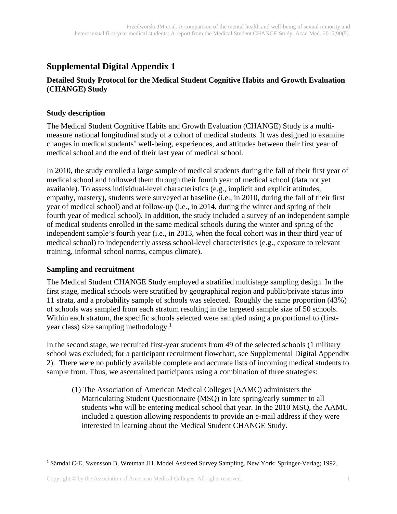## **Supplemental Digital Appendix 1**

#### **Detailed Study Protocol for the Medical Student Cognitive Habits and Growth Evaluation (CHANGE) Study**

#### **Study description**

The Medical Student Cognitive Habits and Growth Evaluation (CHANGE) Study is a multimeasure national longitudinal study of a cohort of medical students. It was designed to examine changes in medical students' well-being, experiences, and attitudes between their first year of medical school and the end of their last year of medical school.

In 2010, the study enrolled a large sample of medical students during the fall of their first year of medical school and followed them through their fourth year of medical school (data not yet available). To assess individual-level characteristics (e.g., implicit and explicit attitudes, empathy, mastery), students were surveyed at baseline (i.e., in 2010, during the fall of their first year of medical school) and at follow-up (i.e., in 2014, during the winter and spring of their fourth year of medical school). In addition, the study included a survey of an independent sample of medical students enrolled in the same medical schools during the winter and spring of the independent sample's fourth year (i.e., in 2013, when the focal cohort was in their third year of medical school) to independently assess school-level characteristics (e.g., exposure to relevant training, informal school norms, campus climate).

#### **Sampling and recruitment**

The Medical Student CHANGE Study employed a stratified multistage sampling design. In the first stage, medical schools were stratified by geographical region and public/private status into 11 strata, and a probability sample of schools was selected. Roughly the same proportion (43%) of schools was sampled from each stratum resulting in the targeted sample size of 50 schools. Within each stratum, the specific schools selected were sampled using a proportional to (firstyear class) size sampling methodology.<sup>1</sup>

In the second stage, we recruited first-year students from 49 of the selected schools (1 military school was excluded; for a participant recruitment flowchart, see Supplemental Digital Appendix 2). There were no publicly available complete and accurate lists of incoming medical students to sample from. Thus, we ascertained participants using a combination of three strategies:

 (1) The Association of American Medical Colleges (AAMC) administers the Matriculating Student Questionnaire (MSQ) in late spring/early summer to all students who will be entering medical school that year. In the 2010 MSQ, the AAMC included a question allowing respondents to provide an e-mail address if they were interested in learning about the Medical Student CHANGE Study.

<sup>1</sup> Särndal C-E, Swensson B, Wretman JH. Model Assisted Survey Sampling. New York: Springer-Verlag; 1992.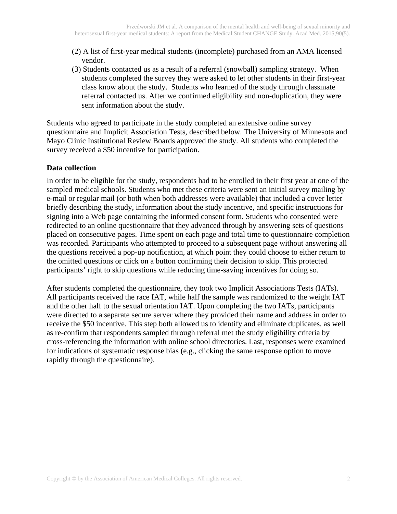- (2) A list of first-year medical students (incomplete) purchased from an AMA licensed vendor.
- (3) Students contacted us as a result of a referral (snowball) sampling strategy. When students completed the survey they were asked to let other students in their first-year class know about the study. Students who learned of the study through classmate referral contacted us. After we confirmed eligibility and non-duplication, they were sent information about the study.

Students who agreed to participate in the study completed an extensive online survey questionnaire and Implicit Association Tests, described below. The University of Minnesota and Mayo Clinic Institutional Review Boards approved the study. All students who completed the survey received a \$50 incentive for participation.

#### **Data collection**

In order to be eligible for the study, respondents had to be enrolled in their first year at one of the sampled medical schools. Students who met these criteria were sent an initial survey mailing by e-mail or regular mail (or both when both addresses were available) that included a cover letter briefly describing the study, information about the study incentive, and specific instructions for signing into a Web page containing the informed consent form. Students who consented were redirected to an online questionnaire that they advanced through by answering sets of questions placed on consecutive pages. Time spent on each page and total time to questionnaire completion was recorded. Participants who attempted to proceed to a subsequent page without answering all the questions received a pop-up notification, at which point they could choose to either return to the omitted questions or click on a button confirming their decision to skip. This protected participants' right to skip questions while reducing time-saving incentives for doing so.

After students completed the questionnaire, they took two Implicit Associations Tests (IATs). All participants received the race IAT, while half the sample was randomized to the weight IAT and the other half to the sexual orientation IAT. Upon completing the two IATs, participants were directed to a separate secure server where they provided their name and address in order to receive the \$50 incentive. This step both allowed us to identify and eliminate duplicates, as well as re-confirm that respondents sampled through referral met the study eligibility criteria by cross-referencing the information with online school directories. Last, responses were examined for indications of systematic response bias (e.g., clicking the same response option to move rapidly through the questionnaire).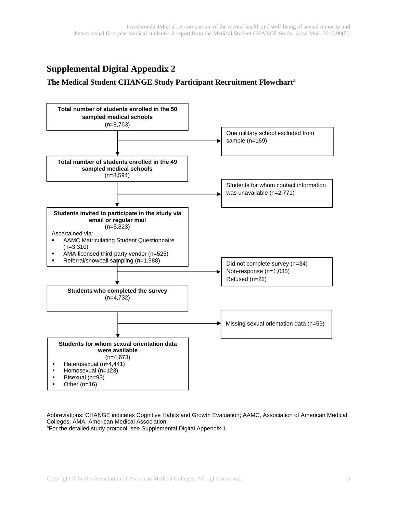# **Supplemental Digital Appendix 2**

#### **The Medical Student CHANGE Study Participant Recruitment Flowcharta**



Abbreviations: CHANGE indicates Cognitive Habits and Growth Evaluation; AAMC, Association of American Medical Colleges; AMA, American Medical Association.

aFor the detailed study protocol, see Supplemental Digital Appendix 1.